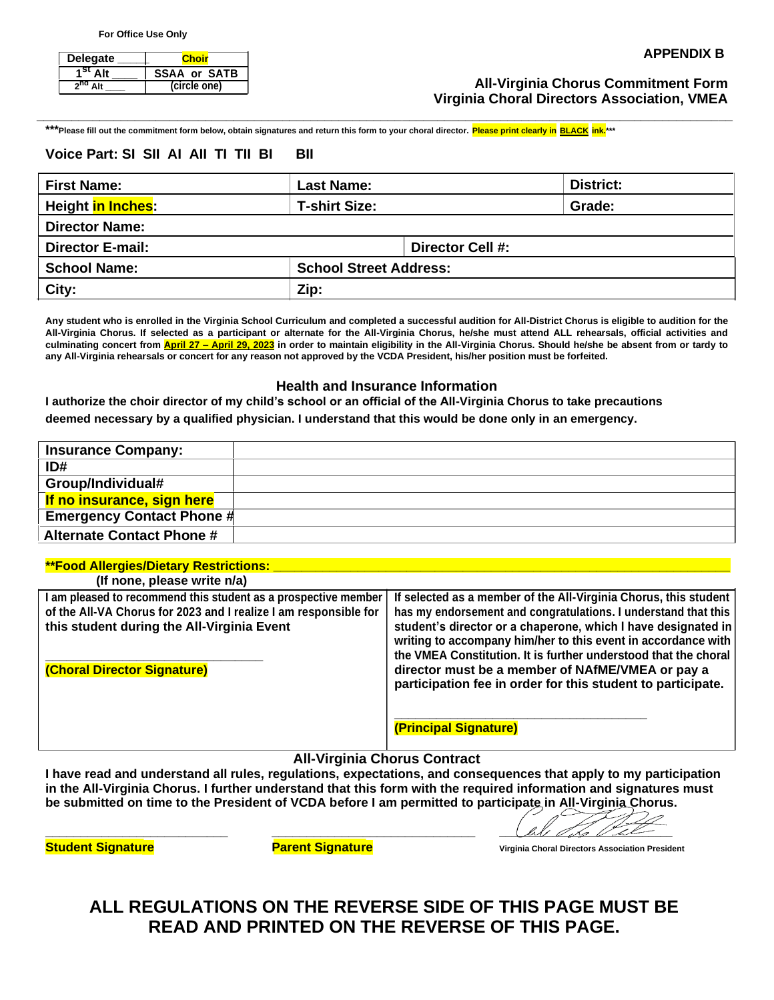| <b>Delegate</b>     | Choir               | <b>APPENDIX B</b>                          |   |
|---------------------|---------------------|--------------------------------------------|---|
| 1 <sup>st</sup> Alt | <b>SSAA or SATB</b> |                                            |   |
| 2 <sup>nd</sup> Alt | (circle one)        | <b>All-Virginia Chorus Commitment Form</b> | . |

## **All-Virginia Chorus Commitment Form Virginia Choral Directors Association, VMEA**

**\*\*\*Please fill out the commitment form below, obtain signatures and return this form to your choral director. Please print clearly in BLACK ink.\*\*\***

### **Voice Part: SI SII AI AII TI TII BI BII**

| <b>First Name:</b>              | <b>Last Name:</b>             |                  | <b>District:</b> |  |  |
|---------------------------------|-------------------------------|------------------|------------------|--|--|
| Height <mark>in Inches</mark> : | <b>T-shirt Size:</b>          |                  | Grade:           |  |  |
| <b>Director Name:</b>           |                               |                  |                  |  |  |
| <b>Director E-mail:</b>         |                               | Director Cell #: |                  |  |  |
| <b>School Name:</b>             | <b>School Street Address:</b> |                  |                  |  |  |
| City:                           | Zip:                          |                  |                  |  |  |

**\_\_\_\_\_\_\_\_\_\_\_\_\_\_\_\_\_\_\_\_\_\_\_\_\_\_\_\_\_\_\_\_\_\_\_\_\_\_\_\_\_\_\_\_\_\_\_\_\_\_\_\_\_\_\_\_\_\_\_\_\_\_\_\_\_\_\_\_\_\_\_\_\_\_\_\_\_\_\_\_\_\_\_\_\_\_\_\_\_\_\_\_\_\_\_\_\_\_\_**

**Any student who is enrolled in the Virginia School Curriculum and completed a successful audition for All-District Chorus is eligible to audition for the All-Virginia Chorus. If selected as a participant or alternate for the All-Virginia Chorus, he/she must attend ALL rehearsals, official activities and culminating concert from April 27 – April 29, 2023 in order to maintain eligibility in the All-Virginia Chorus. Should he/she be absent from or tardy to any All-Virginia rehearsals or concert for any reason not approved by the VCDA President, his/her position must be forfeited.**

### **Health and Insurance Information**

**I authorize the choir director of my child's school or an official of the All-Virginia Chorus to take precautions deemed necessary by a qualified physician. I understand that this would be done only in an emergency.**

| <b>Insurance Company:</b>        |  |
|----------------------------------|--|
| ID#                              |  |
| Group/Individual#                |  |
| If no insurance, sign here       |  |
| <b>Emergency Contact Phone #</b> |  |
| <b>Alternate Contact Phone #</b> |  |

#### **\*\*Food Allergies/Dietary Restrictions: \_\_\_\_\_\_\_\_\_\_\_\_\_\_\_\_\_\_\_\_\_\_\_\_\_\_\_\_\_\_\_\_\_\_\_\_\_\_\_\_\_\_\_\_\_\_\_\_\_\_\_\_\_\_\_\_\_\_\_\_\_\_\_\_\_**

| (If none, please write n/a)                                                                                                                                                      |                                                                                                                                                                                                                                                                                                                                         |
|----------------------------------------------------------------------------------------------------------------------------------------------------------------------------------|-----------------------------------------------------------------------------------------------------------------------------------------------------------------------------------------------------------------------------------------------------------------------------------------------------------------------------------------|
| I am pleased to recommend this student as a prospective member<br>of the All-VA Chorus for 2023 and I realize I am responsible for<br>this student during the All-Virginia Event | If selected as a member of the All-Virginia Chorus, this student<br>has my endorsement and congratulations. I understand that this<br>student's director or a chaperone, which I have designated in<br>writing to accompany him/her to this event in accordance with<br>the VMEA Constitution. It is further understood that the choral |
| (Choral Director Signature)                                                                                                                                                      | director must be a member of NAfME/VMEA or pay a<br>participation fee in order for this student to participate.<br>(Principal Signature)                                                                                                                                                                                                |

#### **All-Virginia Chorus Contract**

**I have read and understand all rules, regulations, expectations, and consequences that apply to my participation in the All-Virginia Chorus. I further understand that this form with the required information and signatures must be submitted on time to the President of VCDA before I am permitted to participate in All-Virginia Chorus.**

**\_\_\_\_\_\_\_\_\_\_\_\_\_\_\_\_\_\_\_\_\_\_\_\_\_\_ \_\_\_\_\_\_\_\_\_\_\_\_\_\_\_\_\_\_\_\_\_\_\_\_\_\_\_\_\_ \_\_\_\_\_\_\_\_\_\_\_\_\_\_\_\_\_\_\_\_\_\_\_\_\_\_\_\_\_**

**Student Signature Parent Signature Virginia Choral Directors Association President**

**ALL REGULATIONS ON THE REVERSE SIDE OF THIS PAGE MUST BE READ AND PRINTED ON THE REVERSE OF THIS PAGE.**